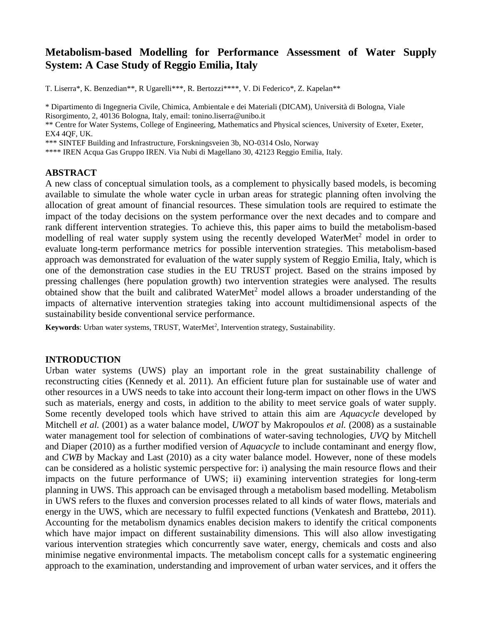# **Metabolism-based Modelling for Performance Assessment of Water Supply System: A Case Study of Reggio Emilia, Italy**

T. Liserra\*, K. Benzedian\*\*, R Ugarelli\*\*\*, R. Bertozzi\*\*\*\*, V. Di Federico\*, Z. Kapelan\*\*

\* Dipartimento di Ingegneria Civile, Chimica, Ambientale e dei Materiali (DICAM), Università di Bologna, Viale Risorgimento, 2, 40136 Bologna, Italy, email: tonino.liserra@unibo.it \*\* Centre for Water Systems, College of Engineering, Mathematics and Physical sciences, University of Exeter, Exeter, EX4 4QF, UK. \*\*\* SINTEF Building and Infrastructure, Forskningsveien 3b, NO-0314 Oslo, Norway

\*\*\*\* IREN Acqua Gas Gruppo IREN. Via Nubi di Magellano 30, 42123 Reggio Emilia, Italy.

# **ABSTRACT**

A new class of conceptual simulation tools, as a complement to physically based models, is becoming available to simulate the whole water cycle in urban areas for strategic planning often involving the allocation of great amount of financial resources. These simulation tools are required to estimate the impact of the today decisions on the system performance over the next decades and to compare and rank different intervention strategies. To achieve this, this paper aims to build the metabolism-based modelling of real water supply system using the recently developed WaterMet<sup>2</sup> model in order to evaluate long-term performance metrics for possible intervention strategies. This metabolism-based approach was demonstrated for evaluation of the water supply system of Reggio Emilia, Italy, which is one of the demonstration case studies in the EU TRUST project. Based on the strains imposed by pressing challenges (here population growth) two intervention strategies were analysed. The results obtained show that the built and calibrated WaterMet<sup>2</sup> model allows a broader understanding of the impacts of alternative intervention strategies taking into account multidimensional aspects of the sustainability beside conventional service performance.

Keywords: Urban water systems, TRUST, WaterMet<sup>2</sup>, Intervention strategy, Sustainability.

# **INTRODUCTION**

Urban water systems (UWS) play an important role in the great sustainability challenge of reconstructing cities (Kennedy et al. 2011). An efficient future plan for sustainable use of water and other resources in a UWS needs to take into account their long-term impact on other flows in the UWS such as materials, energy and costs, in addition to the ability to meet service goals of water supply. Some recently developed tools which have strived to attain this aim are *Aquacycle* developed by Mitchell *et al.* (2001) as a water balance model, *UWOT* by Makropoulos *et al.* (2008) as a sustainable water management tool for selection of combinations of water-saving technologies, *UVQ* by Mitchell and Diaper (2010) as a further modified version of *Aquacycle* to include contaminant and energy flow, and *CWB* by Mackay and Last (2010) as a city water balance model. However, none of these models can be considered as a holistic systemic perspective for: i) analysing the main resource flows and their impacts on the future performance of UWS; ii) examining intervention strategies for long-term planning in UWS. This approach can be envisaged through a metabolism based modelling. Metabolism in UWS refers to the fluxes and conversion processes related to all kinds of water flows, materials and energy in the UWS, which are necessary to fulfil expected functions (Venkatesh and Brattebø, 2011). Accounting for the metabolism dynamics enables decision makers to identify the critical components which have major impact on different sustainability dimensions. This will also allow investigating various intervention strategies which concurrently save water, energy, chemicals and costs and also minimise negative environmental impacts. The metabolism concept calls for a systematic engineering approach to the examination, understanding and improvement of urban water services, and it offers the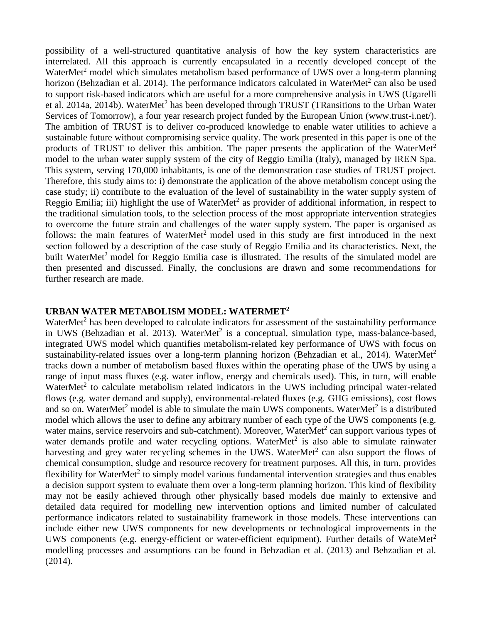possibility of a well-structured quantitative analysis of how the key system characteristics are interrelated. All this approach is currently encapsulated in a recently developed concept of the WaterMet<sup>2</sup> model which simulates metabolism based performance of UWS over a long-term planning horizon (Behzadian et al. 2014). The performance indicators calculated in WaterMet<sup>2</sup> can also be used to support risk-based indicators which are useful for a more comprehensive analysis in UWS (Ugarelli et al. 2014a, 2014b). WaterMet<sup>2</sup> has been developed through TRUST (TRansitions to the Urban Water Services of Tomorrow), a four year research project funded by the European Union (www.trust-i.net/). The ambition of TRUST is to deliver co-produced knowledge to enable water utilities to achieve a sustainable future without compromising service quality. The work presented in this paper is one of the products of TRUST to deliver this ambition. The paper presents the application of the WaterMet<sup>2</sup> model to the urban water supply system of the city of Reggio Emilia (Italy), managed by IREN Spa. This system, serving 170,000 inhabitants, is one of the demonstration case studies of TRUST project. Therefore, this study aims to: i) demonstrate the application of the above metabolism concept using the case study; ii) contribute to the evaluation of the level of sustainability in the water supply system of Reggio Emilia; iii) highlight the use of WaterMet<sup>2</sup> as provider of additional information, in respect to the traditional simulation tools, to the selection process of the most appropriate intervention strategies to overcome the future strain and challenges of the water supply system. The paper is organised as follows: the main features of WaterMet<sup>2</sup> model used in this study are first introduced in the next section followed by a description of the case study of Reggio Emilia and its characteristics. Next, the built WaterMet<sup>2</sup> model for Reggio Emilia case is illustrated. The results of the simulated model are then presented and discussed. Finally, the conclusions are drawn and some recommendations for further research are made.

## **URBAN WATER METABOLISM MODEL: WATERMET<sup>2</sup>**

WaterMet<sup>2</sup> has been developed to calculate indicators for assessment of the sustainability performance in UWS (Behzadian et al. 2013). WaterMet<sup>2</sup> is a conceptual, simulation type, mass-balance-based, integrated UWS model which quantifies metabolism-related key performance of UWS with focus on sustainability-related issues over a long-term planning horizon (Behzadian et al., 2014). WaterMet<sup>2</sup> tracks down a number of metabolism based fluxes within the operating phase of the UWS by using a range of input mass fluxes (e.g. water inflow, energy and chemicals used). This, in turn, will enable WaterMet<sup>2</sup> to calculate metabolism related indicators in the UWS including principal water-related flows (e.g. water demand and supply), environmental-related fluxes (e.g. GHG emissions), cost flows and so on. WaterMet<sup>2</sup> model is able to simulate the main UWS components. WaterMet<sup>2</sup> is a distributed model which allows the user to define any arbitrary number of each type of the UWS components (e.g. water mains, service reservoirs and sub-catchment). Moreover, WaterMet<sup>2</sup> can support various types of water demands profile and water recycling options. WaterMet $2$  is also able to simulate rainwater harvesting and grey water recycling schemes in the UWS. WaterMet<sup>2</sup> can also support the flows of chemical consumption, sludge and resource recovery for treatment purposes. All this, in turn, provides flexibility for WaterMet<sup>2</sup> to simply model various fundamental intervention strategies and thus enables a decision support system to evaluate them over a long-term planning horizon. This kind of flexibility may not be easily achieved through other physically based models due mainly to extensive and detailed data required for modelling new intervention options and limited number of calculated performance indicators related to sustainability framework in those models. These interventions can include either new UWS components for new developments or technological improvements in the UWS components (e.g. energy-efficient or water-efficient equipment). Further details of WateMet<sup>2</sup> modelling processes and assumptions can be found in Behzadian et al. (2013) and Behzadian et al. (2014).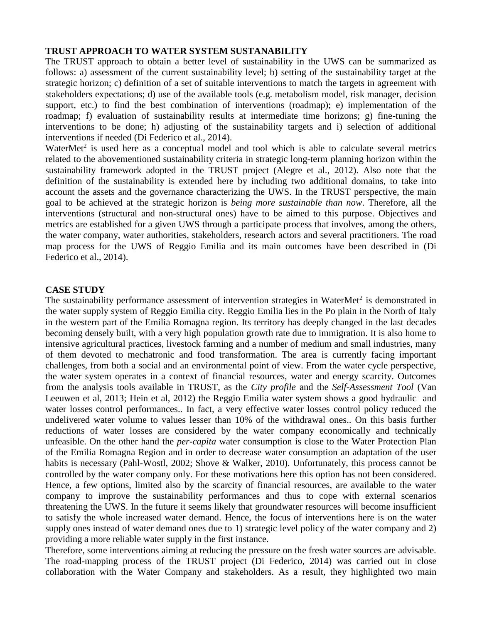# **TRUST APPROACH TO WATER SYSTEM SUSTANABILITY**

The TRUST approach to obtain a better level of sustainability in the UWS can be summarized as follows: a) assessment of the current sustainability level; b) setting of the sustainability target at the strategic horizon; c) definition of a set of suitable interventions to match the targets in agreement with stakeholders expectations; d) use of the available tools (e.g. metabolism model, risk manager, decision support, etc.) to find the best combination of interventions (roadmap); e) implementation of the roadmap; f) evaluation of sustainability results at intermediate time horizons; g) fine-tuning the interventions to be done; h) adjusting of the sustainability targets and i) selection of additional interventions if needed (Di Federico et al., 2014).

WaterMet<sup>2</sup> is used here as a conceptual model and tool which is able to calculate several metrics related to the abovementioned sustainability criteria in strategic long-term planning horizon within the sustainability framework adopted in the TRUST project (Alegre et al., 2012). Also note that the definition of the sustainability is extended here by including two additional domains, to take into account the assets and the governance characterizing the UWS. In the TRUST perspective, the main goal to be achieved at the strategic horizon is *being more sustainable than now*. Therefore, all the interventions (structural and non-structural ones) have to be aimed to this purpose. Objectives and metrics are established for a given UWS through a participate process that involves, among the others, the water company, water authorities, stakeholders, research actors and several practitioners. The road map process for the UWS of Reggio Emilia and its main outcomes have been described in (Di Federico et al., 2014).

## **CASE STUDY**

The sustainability performance assessment of intervention strategies in WaterMet<sup>2</sup> is demonstrated in the water supply system of Reggio Emilia city. Reggio Emilia lies in the Po plain in the North of Italy in the western part of the Emilia Romagna region. Its territory has deeply changed in the last decades becoming densely built, with a very high population growth rate due to immigration. It is also home to intensive agricultural practices, livestock farming and a number of medium and small industries, many of them devoted to mechatronic and food transformation. The area is currently facing important challenges, from both a social and an environmental point of view. From the water cycle perspective, the water system operates in a context of financial resources, water and energy scarcity. Outcomes from the analysis tools available in TRUST, as the *City profile* and the *Self-Assessment Tool* (Van Leeuwen et al, 2013; Hein et al, 2012) the Reggio Emilia water system shows a good hydraulic and water losses control performances.. In fact, a very effective water losses control policy reduced the undelivered water volume to values lesser than 10% of the withdrawal ones.. On this basis further reductions of water losses are considered by the water company economically and technically unfeasible. On the other hand the *per-capita* water consumption is close to the Water Protection Plan of the Emilia Romagna Region and in order to decrease water consumption an adaptation of the user habits is necessary (Pahl-Wostl, 2002; Shove & Walker, 2010). Unfortunately, this process cannot be controlled by the water company only. For these motivations here this option has not been considered. Hence, a few options, limited also by the scarcity of financial resources, are available to the water company to improve the sustainability performances and thus to cope with external scenarios threatening the UWS. In the future it seems likely that groundwater resources will become insufficient to satisfy the whole increased water demand. Hence, the focus of interventions here is on the water supply ones instead of water demand ones due to 1) strategic level policy of the water company and 2) providing a more reliable water supply in the first instance.

Therefore, some interventions aiming at reducing the pressure on the fresh water sources are advisable. The road-mapping process of the TRUST project (Di Federico, 2014) was carried out in close collaboration with the Water Company and stakeholders. As a result, they highlighted two main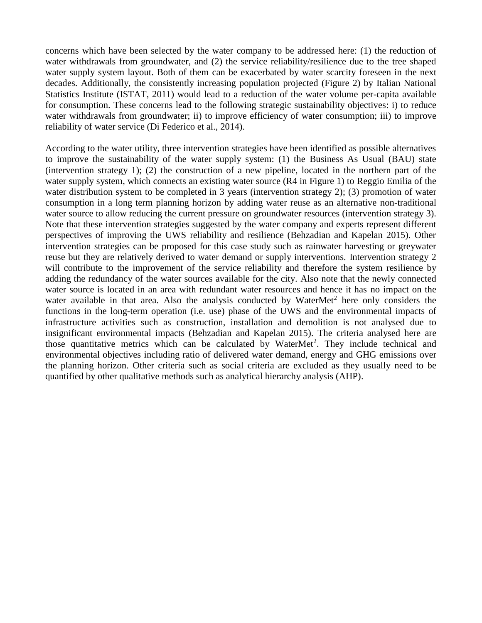concerns which have been selected by the water company to be addressed here: (1) the reduction of water withdrawals from groundwater, and (2) the service reliability/resilience due to the tree shaped water supply system layout. Both of them can be exacerbated by water scarcity foreseen in the next decades. Additionally, the consistently increasing population projected (Figure 2) by Italian National Statistics Institute (ISTAT, 2011) would lead to a reduction of the water volume per-capita available for consumption. These concerns lead to the following strategic sustainability objectives: i) to reduce water withdrawals from groundwater; ii) to improve efficiency of water consumption; iii) to improve reliability of water service (Di Federico et al., 2014).

According to the water utility, three intervention strategies have been identified as possible alternatives to improve the sustainability of the water supply system: (1) the Business As Usual (BAU) state (intervention strategy 1); (2) the construction of a new pipeline, located in the northern part of the water supply system, which connects an existing water source (R4 in Figure 1) to Reggio Emilia of the water distribution system to be completed in 3 years (intervention strategy 2); (3) promotion of water consumption in a long term planning horizon by adding water reuse as an alternative non-traditional water source to allow reducing the current pressure on groundwater resources (intervention strategy 3). Note that these intervention strategies suggested by the water company and experts represent different perspectives of improving the UWS reliability and resilience (Behzadian and Kapelan 2015). Other intervention strategies can be proposed for this case study such as rainwater harvesting or greywater reuse but they are relatively derived to water demand or supply interventions. Intervention strategy 2 will contribute to the improvement of the service reliability and therefore the system resilience by adding the redundancy of the water sources available for the city. Also note that the newly connected water source is located in an area with redundant water resources and hence it has no impact on the water available in that area. Also the analysis conducted by WaterMet<sup>2</sup> here only considers the functions in the long-term operation (i.e. use) phase of the UWS and the environmental impacts of infrastructure activities such as construction, installation and demolition is not analysed due to insignificant environmental impacts (Behzadian and Kapelan 2015). The criteria analysed here are those quantitative metrics which can be calculated by WaterMet<sup>2</sup>. They include technical and environmental objectives including ratio of delivered water demand, energy and GHG emissions over the planning horizon. Other criteria such as social criteria are excluded as they usually need to be quantified by other qualitative methods such as analytical hierarchy analysis (AHP).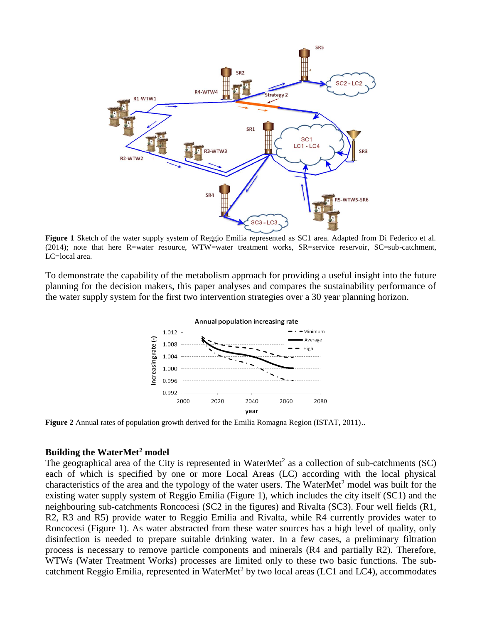

**Figure 1** Sketch of the water supply system of Reggio Emilia represented as SC1 area. Adapted from Di Federico et al. (2014); note that here R=water resource, WTW=water treatment works, SR=service reservoir, SC=sub-catchment, LC=local area.

To demonstrate the capability of the metabolism approach for providing a useful insight into the future planning for the decision makers, this paper analyses and compares the sustainability performance of the water supply system for the first two intervention strategies over a 30 year planning horizon.



**Figure 2** Annual rates of population growth derived for the Emilia Romagna Region (ISTAT, 2011)..

### **Building the WaterMet<sup>2</sup> model**

The geographical area of the City is represented in WaterMet<sup>2</sup> as a collection of sub-catchments (SC) each of which is specified by one or more Local Areas (LC) according with the local physical characteristics of the area and the typology of the water users. The WaterMet<sup>2</sup> model was built for the existing water supply system of Reggio Emilia (Figure 1), which includes the city itself (SC1) and the neighbouring sub-catchments Roncocesi (SC2 in the figures) and Rivalta (SC3). Four well fields (R1, R2, R3 and R5) provide water to Reggio Emilia and Rivalta, while R4 currently provides water to Roncocesi (Figure 1). As water abstracted from these water sources has a high level of quality, only disinfection is needed to prepare suitable drinking water. In a few cases, a preliminary filtration process is necessary to remove particle components and minerals (R4 and partially R2). Therefore, WTWs (Water Treatment Works) processes are limited only to these two basic functions. The subcatchment Reggio Emilia, represented in WaterMet<sup>2</sup> by two local areas (LC1 and LC4), accommodates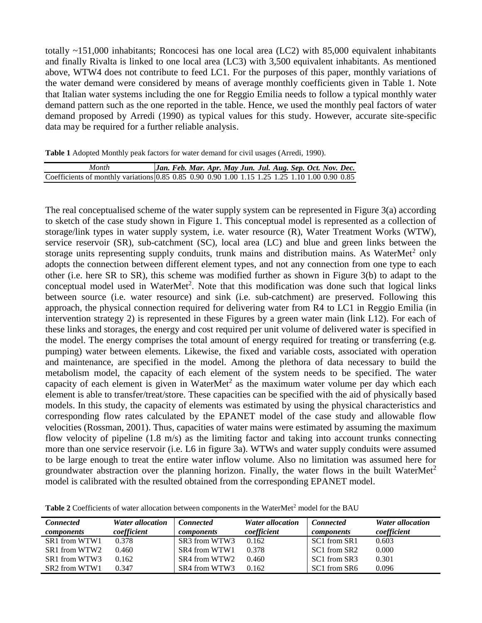totally ~151,000 inhabitants; Roncocesi has one local area (LC2) with 85,000 equivalent inhabitants and finally Rivalta is linked to one local area (LC3) with 3,500 equivalent inhabitants. As mentioned above, WTW4 does not contribute to feed LC1. For the purposes of this paper, monthly variations of the water demand were considered by means of average monthly coefficients given in Table 1. Note that Italian water systems including the one for Reggio Emilia needs to follow a typical monthly water demand pattern such as the one reported in the table. Hence, we used the monthly peal factors of water demand proposed by Arredi (1990) as typical values for this study. However, accurate site-specific data may be required for a further reliable analysis.

**Table 1** Adopted Monthly peak factors for water demand for civil usages (Arredi, 1990).

| Month                                                                                          |  | Jan. Feb. Mar. Apr. May Jun. Jul. Aug. Sep. Oct. Nov. Dec. |  |  |  |  |  |
|------------------------------------------------------------------------------------------------|--|------------------------------------------------------------|--|--|--|--|--|
| Coefficients of monthly variations 0.85 0.85 0.90 0.90 1.00 1.15 1.25 1.25 1.10 1.00 0.90 0.85 |  |                                                            |  |  |  |  |  |

The real conceptualised scheme of the water supply system can be represented in Figure 3(a) according to sketch of the case study shown in Figure 1. This conceptual model is represented as a collection of storage/link types in water supply system, i.e. water resource (R), Water Treatment Works (WTW), service reservoir (SR), sub-catchment (SC), local area (LC) and blue and green links between the storage units representing supply conduits, trunk mains and distribution mains. As WaterMet<sup>2</sup> only adopts the connection between different element types, and not any connection from one type to each other (i.e. here SR to SR), this scheme was modified further as shown in Figure 3(b) to adapt to the conceptual model used in WaterMet<sup>2</sup>. Note that this modification was done such that logical links between source (i.e. water resource) and sink (i.e. sub-catchment) are preserved. Following this approach, the physical connection required for delivering water from R4 to LC1 in Reggio Emilia (in intervention strategy 2) is represented in these Figures by a green water main (link L12). For each of these links and storages, the energy and cost required per unit volume of delivered water is specified in the model. The energy comprises the total amount of energy required for treating or transferring (e.g. pumping) water between elements. Likewise, the fixed and variable costs, associated with operation and maintenance, are specified in the model. Among the plethora of data necessary to build the metabolism model, the capacity of each element of the system needs to be specified. The water capacity of each element is given in WaterMet<sup>2</sup> as the maximum water volume per day which each element is able to transfer/treat/store. These capacities can be specified with the aid of physically based models. In this study, the capacity of elements was estimated by using the physical characteristics and corresponding flow rates calculated by the EPANET model of the case study and allowable flow velocities (Rossman, 2001). Thus, capacities of water mains were estimated by assuming the maximum flow velocity of pipeline (1.8 m/s) as the limiting factor and taking into account trunks connecting more than one service reservoir (i.e. L6 in figure 3a). WTWs and water supply conduits were assumed to be large enough to treat the entire water inflow volume. Also no limitation was assumed here for groundwater abstraction over the planning horizon. Finally, the water flows in the built WaterMet<sup>2</sup> model is calibrated with the resulted obtained from the corresponding EPANET model.

| <b>Connected</b><br>components | <b>Water allocation</b><br>coefficient | <b>Connected</b><br><i>components</i> | <b>Water allocation</b><br>coefficient | <b>Connected</b><br><i>components</i> | <b>Water allocation</b><br>coefficient |
|--------------------------------|----------------------------------------|---------------------------------------|----------------------------------------|---------------------------------------|----------------------------------------|
| SR1 from WTW1                  | 0.378                                  | SR3 from WTW3                         | 0.162                                  | SC1 from SR1                          | 0.603                                  |
| SR1 from WTW2                  | 0.460                                  | SR4 from WTW1                         | 0.378                                  | SC1 from SR2                          | 0.000                                  |
| SR1 from WTW3                  | 0.162                                  | SR4 from WTW2                         | 0.460                                  | SC1 from SR3                          | 0.301                                  |
| SR2 from WTW1                  | 0.347                                  | SR4 from WTW3                         | 0.162                                  | SC1 from SR6                          | 0.096                                  |

**Table 2** Coefficients of water allocation between components in the WaterMet<sup>2</sup> model for the BAU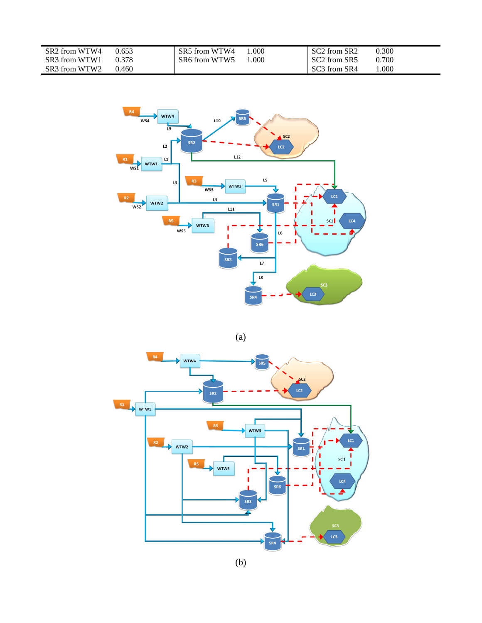| SR <sub>3</sub> from WTW <sub>1</sub><br>SR6 from WTW5<br>0.700<br>SC <sub>2</sub> from SR <sub>5</sub><br>0.378<br>.000.<br>.000<br>SR <sub>3</sub> from WTW <sub>2</sub><br>SC <sub>3</sub> from SR <sub>4</sub><br>0.460 | SR <sub>2</sub> from WTW <sub>4</sub> | 0.653 | SR5 from WTW4 | .000 | SC <sub>2</sub> from SR <sub>2</sub> | 0.300 |
|-----------------------------------------------------------------------------------------------------------------------------------------------------------------------------------------------------------------------------|---------------------------------------|-------|---------------|------|--------------------------------------|-------|
|                                                                                                                                                                                                                             |                                       |       |               |      |                                      |       |
|                                                                                                                                                                                                                             |                                       |       |               |      |                                      |       |



(a)

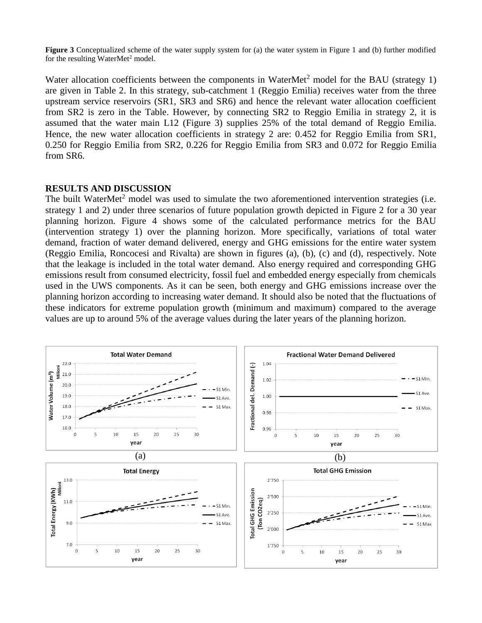**Figure 3** Conceptualized scheme of the water supply system for (a) the water system in Figure 1 and (b) further modified for the resulting WaterMet<sup>2</sup> model.

Water allocation coefficients between the components in WaterMet<sup>2</sup> model for the BAU (strategy 1) are given in Table 2. In this strategy, sub-catchment 1 (Reggio Emilia) receives water from the three upstream service reservoirs (SR1, SR3 and SR6) and hence the relevant water allocation coefficient from SR2 is zero in the Table. However, by connecting SR2 to Reggio Emilia in strategy 2, it is assumed that the water main L12 (Figure 3) supplies 25% of the total demand of Reggio Emilia. Hence, the new water allocation coefficients in strategy 2 are: 0.452 for Reggio Emilia from SR1, 0.250 for Reggio Emilia from SR2, 0.226 for Reggio Emilia from SR3 and 0.072 for Reggio Emilia from SR6.

## **RESULTS AND DISCUSSION**

The built WaterMet<sup>2</sup> model was used to simulate the two aforementioned intervention strategies (i.e. strategy 1 and 2) under three scenarios of future population growth depicted in Figure 2 for a 30 year planning horizon. Figure 4 shows some of the calculated performance metrics for the BAU (intervention strategy 1) over the planning horizon. More specifically, variations of total water demand, fraction of water demand delivered, energy and GHG emissions for the entire water system (Reggio Emilia, Roncocesi and Rivalta) are shown in figures (a), (b), (c) and (d), respectively. Note that the leakage is included in the total water demand. Also energy required and corresponding GHG emissions result from consumed electricity, fossil fuel and embedded energy especially from chemicals used in the UWS components. As it can be seen, both energy and GHG emissions increase over the planning horizon according to increasing water demand. It should also be noted that the fluctuations of these indicators for extreme population growth (minimum and maximum) compared to the average values are up to around 5% of the average values during the later years of the planning horizon.

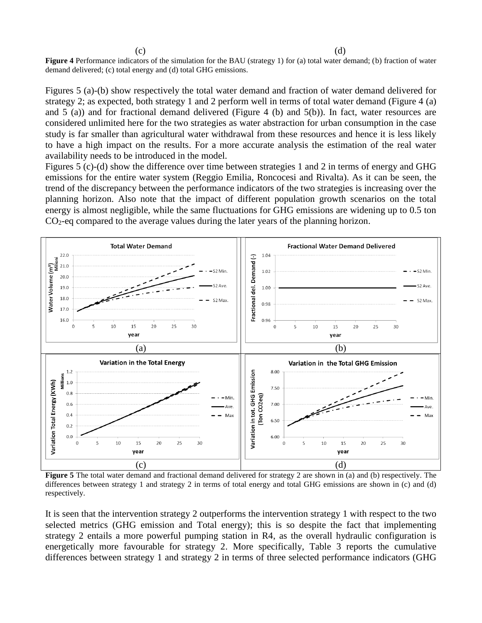$\qquad \qquad \textbf{(c)}\qquad \qquad \textbf{(d)}$ 

**Figure 4** Performance indicators of the simulation for the BAU (strategy 1) for (a) total water demand; (b) fraction of water demand delivered; (c) total energy and (d) total GHG emissions.

Figures 5 (a)-(b) show respectively the total water demand and fraction of water demand delivered for strategy 2; as expected, both strategy 1 and 2 perform well in terms of total water demand (Figure 4 (a) and 5 (a)) and for fractional demand delivered (Figure 4 (b) and 5(b)). In fact, water resources are considered unlimited here for the two strategies as water abstraction for urban consumption in the case study is far smaller than agricultural water withdrawal from these resources and hence it is less likely to have a high impact on the results. For a more accurate analysis the estimation of the real water availability needs to be introduced in the model.

Figures 5 (c)-(d) show the difference over time between strategies 1 and 2 in terms of energy and GHG emissions for the entire water system (Reggio Emilia, Roncocesi and Rivalta). As it can be seen, the trend of the discrepancy between the performance indicators of the two strategies is increasing over the planning horizon. Also note that the impact of different population growth scenarios on the total energy is almost negligible, while the same fluctuations for GHG emissions are widening up to 0.5 ton  $CO<sub>2</sub>$ -eq compared to the average values during the later years of the planning horizon.



**Figure 5** The total water demand and fractional demand delivered for strategy 2 are shown in (a) and (b) respectively. The differences between strategy 1 and strategy 2 in terms of total energy and total GHG emissions are shown in (c) and (d) respectively.

It is seen that the intervention strategy 2 outperforms the intervention strategy 1 with respect to the two selected metrics (GHG emission and Total energy); this is so despite the fact that implementing strategy 2 entails a more powerful pumping station in R4, as the overall hydraulic configuration is energetically more favourable for strategy 2. More specifically, Table 3 reports the cumulative differences between strategy 1 and strategy 2 in terms of three selected performance indicators (GHG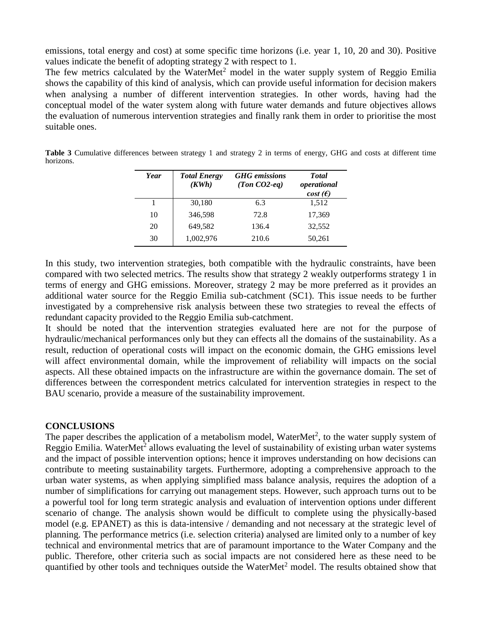emissions, total energy and cost) at some specific time horizons (i.e. year 1, 10, 20 and 30). Positive values indicate the benefit of adopting strategy 2 with respect to 1.

The few metrics calculated by the WaterMet<sup>2</sup> model in the water supply system of Reggio Emilia shows the capability of this kind of analysis, which can provide useful information for decision makers when analysing a number of different intervention strategies. In other words, having had the conceptual model of the water system along with future water demands and future objectives allows the evaluation of numerous intervention strategies and finally rank them in order to prioritise the most suitable ones.

| Year | <b>Total Energy</b><br>(KWh) | <b>GHG</b> emissions<br>(Ton $CO2$ -eq) | <b>Total</b><br>operational<br>$cost(\epsilon)$ |
|------|------------------------------|-----------------------------------------|-------------------------------------------------|
|      | 30,180                       | 6.3                                     | 1,512                                           |
| 10   | 346,598                      | 72.8                                    | 17,369                                          |
| 20   | 649,582                      | 136.4                                   | 32,552                                          |
| 30   | 1,002,976                    | 210.6                                   | 50,261                                          |

**Table 3** Cumulative differences between strategy 1 and strategy 2 in terms of energy, GHG and costs at different time horizons.

In this study, two intervention strategies, both compatible with the hydraulic constraints, have been compared with two selected metrics. The results show that strategy 2 weakly outperforms strategy 1 in terms of energy and GHG emissions. Moreover, strategy 2 may be more preferred as it provides an additional water source for the Reggio Emilia sub-catchment (SC1). This issue needs to be further investigated by a comprehensive risk analysis between these two strategies to reveal the effects of redundant capacity provided to the Reggio Emilia sub-catchment.

It should be noted that the intervention strategies evaluated here are not for the purpose of hydraulic/mechanical performances only but they can effects all the domains of the sustainability. As a result, reduction of operational costs will impact on the economic domain, the GHG emissions level will affect environmental domain, while the improvement of reliability will impacts on the social aspects. All these obtained impacts on the infrastructure are within the governance domain. The set of differences between the correspondent metrics calculated for intervention strategies in respect to the BAU scenario, provide a measure of the sustainability improvement.

## **CONCLUSIONS**

The paper describes the application of a metabolism model, WaterMet<sup>2</sup>, to the water supply system of Reggio Emilia. WaterMet<sup>2</sup> allows evaluating the level of sustainability of existing urban water systems and the impact of possible intervention options; hence it improves understanding on how decisions can contribute to meeting sustainability targets. Furthermore, adopting a comprehensive approach to the urban water systems, as when applying simplified mass balance analysis, requires the adoption of a number of simplifications for carrying out management steps. However, such approach turns out to be a powerful tool for long term strategic analysis and evaluation of intervention options under different scenario of change. The analysis shown would be difficult to complete using the physically-based model (e.g. EPANET) as this is data-intensive / demanding and not necessary at the strategic level of planning. The performance metrics (i.e. selection criteria) analysed are limited only to a number of key technical and environmental metrics that are of paramount importance to the Water Company and the public. Therefore, other criteria such as social impacts are not considered here as these need to be quantified by other tools and techniques outside the WaterMet<sup>2</sup> model. The results obtained show that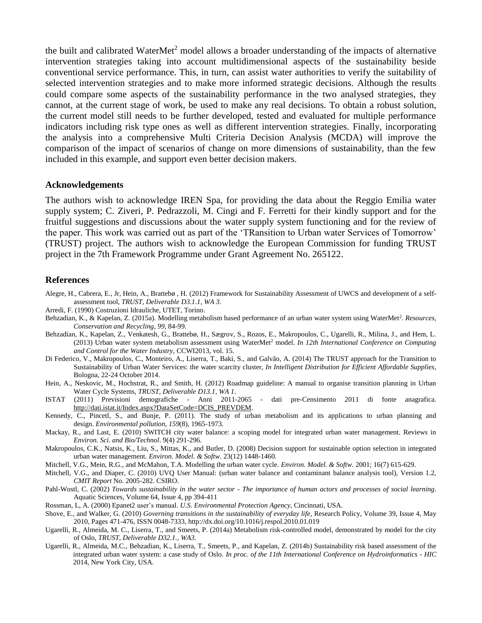the built and calibrated WaterMet<sup>2</sup> model allows a broader understanding of the impacts of alternative intervention strategies taking into account multidimensional aspects of the sustainability beside conventional service performance. This, in turn, can assist water authorities to verify the suitability of selected intervention strategies and to make more informed strategic decisions. Although the results could compare some aspects of the sustainability performance in the two analysed strategies, they cannot, at the current stage of work, be used to make any real decisions. To obtain a robust solution, the current model still needs to be further developed, tested and evaluated for multiple performance indicators including risk type ones as well as different intervention strategies. Finally, incorporating the analysis into a comprehensive Multi Criteria Decision Analysis (MCDA) will improve the comparison of the impact of scenarios of change on more dimensions of sustainability, than the few included in this example, and support even better decision makers.

#### **Acknowledgements**

The authors wish to acknowledge IREN Spa, for providing the data about the Reggio Emilia water supply system; C. Ziveri, P. Pedrazzoli, M. Cingi and F. Ferretti for their kindly support and for the fruitful suggestions and discussions about the water supply system functioning and for the review of the paper. This work was carried out as part of the 'TRansition to Urban water Services of Tomorrow' (TRUST) project. The authors wish to acknowledge the European Commission for funding TRUST project in the 7th Framework Programme under Grant Agreement No. 265122.

#### **References**

- Alegre, H., Cabrera, E., Jr, Hein, A., Brattebø , H. (2012) Framework for Sustainability Assessment of UWCS and development of a selfassessment tool, *TRUST, Deliverable D3.1.1, WA 3*.
- Arredi, F. (1990) Costruzioni Idrauliche, UTET, Torino.
- Behzadian, K., & Kapelan, Z. (2015a). Modelling metabolism based performance of an urban water system using WaterMet<sup>2</sup>. Resources, *Conservation and Recycling*, *99*, 84-99.
- Behzadian, K., Kapelan, Z., Venkatesh, G., Brattebø, H., Sægrov, S., Rozos, E., Makropoulos, C., Ugarelli, R., Milina, J., and Hem, L. (2013) Urban water system metabolism assessment using WaterMet<sup>2</sup> model. *In 12th International Conference on Computing and Control for the Water Industry*, CCWI2013, vol. 15.
- Di Federico, V., Makropoulos, C., Monteiro, A., Liserra, T., Baki, S., and Galvão, A. (2014) The TRUST approach for the Transition to Sustainability of Urban Water Services: the water scarcity cluster, *In Intelligent Distribution for Efficient Affordable Supplies*, Bologna, 22-24 October 2014.
- Hein, A., Neskovic, M., Hochstrat, R., and Smith, H. (2012) Roadmap guideline: A manual to organise transition planning in Urban Water Cycle Systems, *TRUST, Deliverable D13.1, WA 1*.
- ISTAT (2011) Previsioni demografiche Anni 2011-2065 dati pre-Censimento 2011 di fonte anagrafica. [http://dati.istat.it/Index.aspx?DataSetCode=DCIS\\_PREVDEM.](http://dati.istat.it/Index.aspx?DataSetCode=DCIS_PREVDEM)
- Kennedy, C., Pincetl, S., and Bunje, P. (2011). The study of urban metabolism and its applications to urban planning and design. *Environmental pollution*, *159*(8), 1965-1973.
- Mackay, R., and Last, E. (2010) SWITCH city water balance: a scoping model for integrated urban water management. Reviews in *Environ. Sci. and Bio/Technol*. 9(4) 291-296.
- Makropoulos, C.K., Natsis, K., Liu, S., Mittas, K., and Butler, D. (2008) Decision support for sustainable option selection in integrated urban water management. *Environ. Model. & Softw*. 23(12) 1448-1460.
- Mitchell, V.G., Mein, R.G., and McMahon, T.A. Modelling the urban water cycle. *Environ. Model. & Softw.* 2001; 16(7) 615-629.
- Mitchell, V.G., and Diaper, C. (2010) UVQ User Manual: (urban water balance and contaminant balance analysis tool), Version 1.2, *CMIT Report* No. 2005-282. CSIRO.
- Pahl-Wostl, C. (2002) *Towards sustainability in the water sector - The importance of human actors and processes of social learning*. Aquatic Sciences, Volume 64, Issue 4, pp 394-411
- Rossman, L, A. (2000) Epanet2 user's manual. *U.S. Environmental Protection Agency*, Cincinnati, USA.
- Shove, E., and Walker, G. (2010) *Governing transitions in the sustainability of everyday life*, Research Policy, Volume 39, Issue 4, May 2010, Pages 471-476, ISSN 0048-7333,<http://dx.doi.org/10.1016/j.respol.2010.01.019>
- Ugarelli, R., Almeida, M. C., Liserra, T., and Smeets, P. (2014a) Metabolism risk-controlled model, demonstrated by model for the city of Oslo, *TRUST, Deliverable D32.1., WA3.*
- Ugarelli, R., Almeida, M.C., Behzadian, K., Liserra, T., Smeets, P., and Kapelan, Z. (2014b) Sustainability risk based assessment of the integrated urban water system: a case study of Oslo. *In proc. of the 11th International Conference on Hydroinformatics - HIC* 2014, New York City, USA.